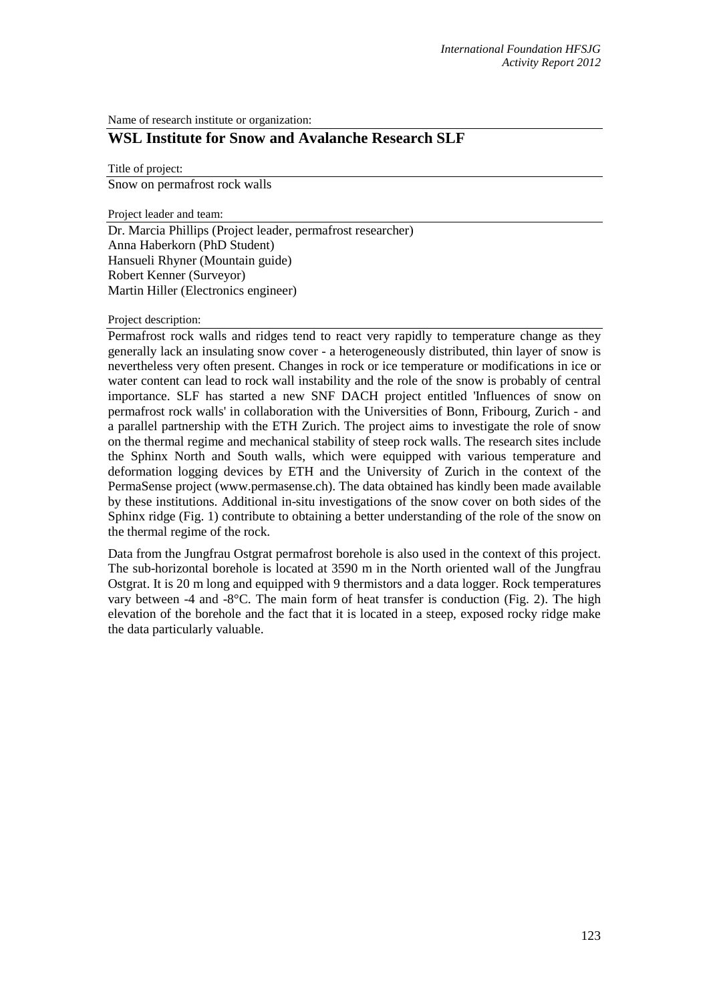Name of research institute or organization:

## **WSL Institute for Snow and Avalanche Research SLF**

Title of project:

Snow on permafrost rock walls

Project leader and team:

Dr. Marcia Phillips (Project leader, permafrost researcher) Anna Haberkorn (PhD Student) Hansueli Rhyner (Mountain guide) Robert Kenner (Surveyor) Martin Hiller (Electronics engineer)

## Project description:

Permafrost rock walls and ridges tend to react very rapidly to temperature change as they generally lack an insulating snow cover - a heterogeneously distributed, thin layer of snow is nevertheless very often present. Changes in rock or ice temperature or modifications in ice or water content can lead to rock wall instability and the role of the snow is probably of central importance. SLF has started a new SNF DACH project entitled 'Influences of snow on permafrost rock walls' in collaboration with the Universities of Bonn, Fribourg, Zurich - and a parallel partnership with the ETH Zurich. The project aims to investigate the role of snow on the thermal regime and mechanical stability of steep rock walls. The research sites include the Sphinx North and South walls, which were equipped with various temperature and deformation logging devices by ETH and the University of Zurich in the context of the PermaSense project (www.permasense.ch). The data obtained has kindly been made available by these institutions. Additional in-situ investigations of the snow cover on both sides of the Sphinx ridge (Fig. 1) contribute to obtaining a better understanding of the role of the snow on the thermal regime of the rock.

Data from the Jungfrau Ostgrat permafrost borehole is also used in the context of this project. The sub-horizontal borehole is located at 3590 m in the North oriented wall of the Jungfrau Ostgrat. It is 20 m long and equipped with 9 thermistors and a data logger. Rock temperatures vary between -4 and -8 $^{\circ}$ C. The main form of heat transfer is conduction (Fig. 2). The high elevation of the borehole and the fact that it is located in a steep, exposed rocky ridge make the data particularly valuable.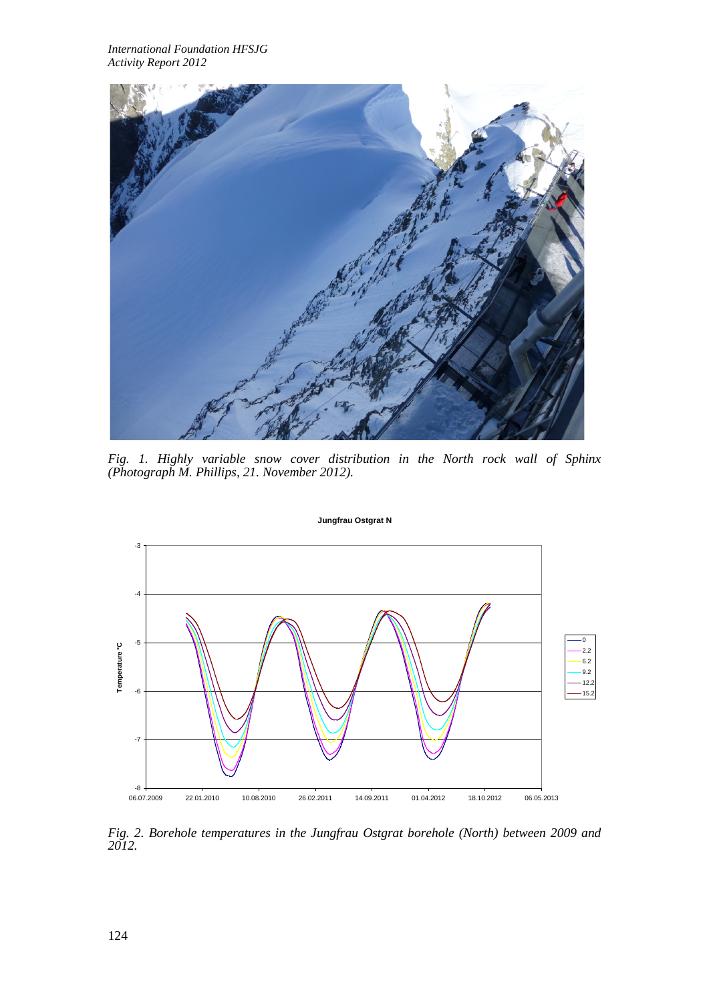*International Foundation HFSJG Activity Report 2012*



*Fig. 1. Highly variable snow cover distribution in the North rock wall of Sphinx (Photograph M. Phillips, 21. November 2012).*



*Fig. 2. Borehole temperatures in the Jungfrau Ostgrat borehole (North) between 2009 and 2012.*